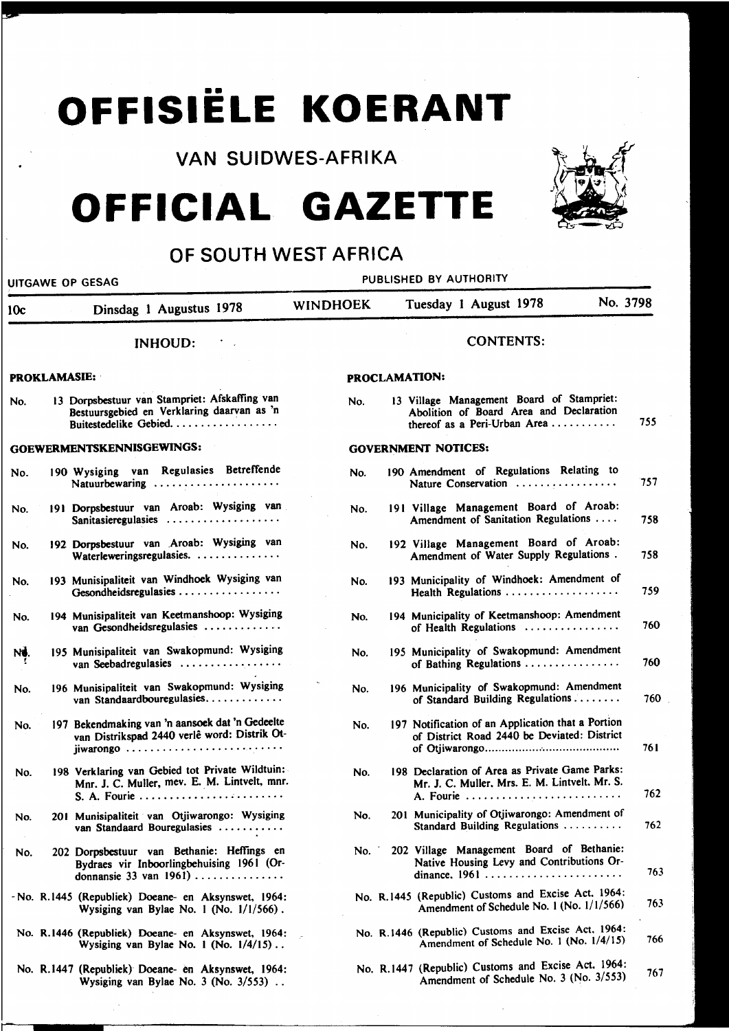# •• **OFFISIELE KOERANT**

VAN SUIDWES-AFRIKA

## **OFFICIAL GAZETTE**



## OF SOUTH WEST AFRICA

| <b>UITGAWE OP GESAG</b> |  |                                                                                                                       | PUBLISHED BY AUTHORITY |  |                                                                                                                      |          |
|-------------------------|--|-----------------------------------------------------------------------------------------------------------------------|------------------------|--|----------------------------------------------------------------------------------------------------------------------|----------|
| 10 <sub>c</sub>         |  | Dinsdag 1 Augustus 1978                                                                                               | <b>WINDHOEK</b>        |  | Tuesday 1 August 1978                                                                                                | No. 3798 |
|                         |  | <b>INHOUD:</b>                                                                                                        |                        |  | <b>CONTENTS:</b>                                                                                                     |          |
| <b>PROKLAMASIE:</b>     |  |                                                                                                                       | <b>PROCLAMATION:</b>   |  |                                                                                                                      |          |
| No.                     |  | 13 Dorpsbestuur van Stampriet: Afskaffing van<br>Bestuursgebied en Verklaring daarvan as 'n<br>Buitestedelike Gebied. | No.                    |  | 13 Village Management Board of Stampriet:<br>Abolition of Board Area and Declaration<br>thereof as a Peri-Urban Area | 755      |
|                         |  | GOEWERMENTSKENNISGEWINGS:                                                                                             |                        |  | <b>GOVERNMENT NOTICES:</b>                                                                                           |          |
| No.                     |  | 190 Wysiging van Regulasies Betreffende<br>Natuurbewaring                                                             | No.                    |  | 190 Amendment of Regulations Relating to<br>Nature Conservation                                                      | 757      |
| No.                     |  | 191 Dorpsbestuur van Aroab: Wysiging van<br>Sanitasieregulasies                                                       | No.                    |  | 191 Village Management Board of Aroab:<br>Amendment of Sanitation Regulations                                        | 758      |
| No.                     |  | 192 Dorpsbestuur van Aroab: Wysiging van<br>Waterleweringsregulasies.                                                 | No.                    |  | 192 Village Management Board of Aroab:<br>Amendment of Water Supply Regulations.                                     | 758      |
| No.                     |  | 193 Munisipaliteit van Windhoek Wysiging van<br>Gesondheidsregulasies                                                 | No.                    |  | 193 Municipality of Windhoek: Amendment of<br>Health Regulations                                                     | 759      |
| No.                     |  | 194 Munisipaliteit van Keetmanshoop: Wysiging<br>van Gesondheidsregulasies                                            | No.                    |  | 194 Municipality of Keetmanshoop: Amendment<br>of Health Regulations                                                 | 760      |
| NŲ.                     |  | 195 Munisipaliteit van Swakopmund: Wysiging<br>van Seebadregulasies                                                   | No.                    |  | 195 Municipality of Swakopmund: Amendment<br>of Bathing Regulations                                                  | 760      |
| No.                     |  | 196 Munisipaliteit van Swakopmund: Wysiging<br>van Standaardbouregulasies                                             | No.                    |  | 196 Municipality of Swakopmund: Amendment<br>of Standard Building Regulations                                        | 760      |
| No.                     |  | 197 Bekendmaking van 'n aansoek dat 'n Gedeelte<br>van Distrikspad 2440 verlê word: Distrik Ot-<br>jiwarongo          | No.                    |  | 197 Notification of an Application that a Portion<br>of District Road 2440 be Deviated: District                     | 761      |
| No.                     |  | 198 Verklaring van Gebied tot Private Wildtuin:<br>Mnr. J. C. Muller, mev. E. M. Lintvelt, mnr.                       | No.                    |  | 198 Declaration of Area as Private Game Parks:<br>Mr. J. C. Muller, Mrs. E. M. Lintvelt, Mr. S.<br>A. Fourie         | 762      |
| No.                     |  | 201 Munisipaliteit van Otjiwarongo: Wysiging<br>van Standaard Bouregulasies                                           | No.                    |  | 201 Municipality of Otjiwarongo: Amendment of<br>Standard Building Regulations                                       | 762      |
| No.                     |  | 202 Dorpsbestuur van Bethanie: Heffings en<br>Bydraes vir Inboorlingbehuising 1961 (Or-<br>donnansie 33 van 1961)     | No.                    |  | 202 Village Management Board of Bethanie:<br>Native Housing Levy and Contributions Or-                               | 763      |
|                         |  | - No. R.1445 (Republiek) Doeane- en Aksynswet, 1964:<br>Wysiging van Bylae No. 1 (No. $1/1/566$ ).                    |                        |  | No. R.1445 (Republic) Customs and Excise Act. 1964:<br>Amendment of Schedule No. 1 (No. 1/1/566)                     | 763      |
|                         |  | No. R.1446 (Republick) Doeane- en Aksynswet, 1964:<br>Wysiging van Bylae No. 1 (No. 1/4/15)                           |                        |  | No. R.1446 (Republic) Customs and Excise Act. 1964:<br>Amendment of Schedule No. 1 (No. 1/4/15)                      | 766      |
|                         |  | No. R.1447 (Republiek) Doeane- en Aksynswet, 1964:<br>Wysiging van Bylae No. $3$ (No. $3/553$ )                       |                        |  | No. R.1447 (Republic) Customs and Excise Act. 1964:<br>Amendment of Schedule No. 3 (No. 3/553)                       | 767      |